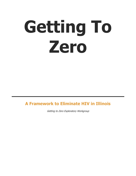# **Getting To Zero**

#### **A Framework to Eliminate HIV in Illinois**

Getting to Zero Exploratory Workgroup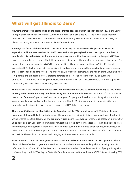## **What will get Illinois to Zero?**

**Now is the time for Illinois to build on the state's tremendous progress in the fight against HIV.** In the City of Chicago, there have been fewer than 1,000 new HIV cases annually since 2013, the fewest cases reported annually since 1990. New HIV cases in Illinois dropped by nearly 28% over the decade from 2006-2015, and Illinois has nearly eliminated mother-to-child HIV transmission.

**Although the future of the Affordable Care Act is uncertain, the insurance marketplace and Medicaid expansion in Illinois have resulted in 12,000 people with HIV getting healthcare coverage, or one-third of people with HIV in the state.** At this moment, nearly everyone in Illinois vulnerable to or living with HIV has access to comprehensive, more affordable insurance that can meet their healthcare and prevention needs. The power of pre-exposure prophylaxis (PrEP) – a prevention pill and program that is up to 99% effective at preventing HIV infection when utilized consistently and correctly – creates the opportunity for convergence of the HIV prevention and care systems. As importantly, HIV treatment improves the health of individuals who are HIV-positive and almost completely protects partners from HIV. People living with HIV on successful antiretroviral treatment – meaning their viral load is undetectable for at least six months – are not capable of transmitting HIV sexually to their HIV-negative partners.

**These factors – the Affordable Care Act, PrEP, and HIV treatment – give us a new opportunity to take what's working and expand it for every population living with and vulnerable to HIV in our state.** It's also a time to take stock of the state's portfolio of programs – targeted for people vulnerable to and living with HIV or for general populations – and optimize them for today's epidemic. Most importantly, it's imperative that we eradicate health disparities so everyone – regardless of HIV status – can thrive.

**That's why it's time for an Illinois Getting to Zero plan.** In July 2016, a small group of HIV stakeholders met to explore what it would take to radically change the course of the epidemic. A basic framework was developed, which evolved into this document. The exploratory group aims to convene a larger group of leaders during 2017- 18 to develop a ten-year plan to dramatically impact the HIV epidemic. These leaders – including city and state governments, health system stakeholders, elected officials, community-based organizations, consumers, and others – will recommend strategies in the HIV sector and beyond to ensure our collective efforts are as effective as possible. They will also be tasked with bringing additional resources to the table.

**Across America, states and local governments have launched similar plans to end the HIV epidemic.** These plans build on effective programs and services and set ambitious, yet attainable goals for reducing new HIV infections. From 2014 to 2015, San Francisco cut new HIV cases by 17% and ensured 93% of people living with HIV were diagnosed. In Washington State, the Seattle area reached the ambitious 90/90/90 goal of having 90%

## **2**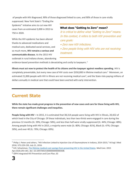of people with HIV diagnosed, 90% of those diagnosed linked to care, and 90% of those in care virally

suppressed. New York State's "Ending the Epidemic" initiative aims to cut new HIV cases from an estimated 3,000 in 2013 to 750 in 2020.

While the HIV epidemic has been altered thanks to advanced medications and medical care, dedicated social services, and so much more, **HIV remains a serious and communicable disease.** As the 2015 HIV outbreak in rural Indiana shows, abandoning

#### **What does "Getting to Zero" mean?**

It is critical to define what "Getting to Zero" means. In this context, it refers to both HIV prevention and care goals:

• Zero new HIV infections.

• Zero people living with HIV who are not receiving treatment.

evidence-based prevention methods is devastating and costly to taxpayers.<sup>1</sup>

**Illinois must act now to protect the health of its citizens and the taxpayer against needless spending.** HIV is completely preventable, but every new case of HIV costs over \$350,000 in lifetime medical care.<sup>2</sup> Moreover, an estimated 21,000 people with HIV in Illinois are not receiving medical care<sup>3</sup>, and the State risks paying millions of dollars annually in medical care that could have been averted with early intervention.

#### **Current State**

**While the state has made great progress in the prevention of new cases and care for those living with HIV, there remain significant challenges and inequities.** 

**People living with HIV –** In 2015, it is estimated that 38,314 people were living with HIV in Illinois, 20,422 of which lived in the City of Chicago. Of these individuals, less than two-thirds were engaged in care during the previous 12 months (IL: 39%; Chicago: 58%), and less than half were virally suppressed (IL: 44%; Chicago: 48%). Among people living with HIV in 2015, a majority were male (IL: 80%; Chicago: 81%), Black (IL: 47%; Chicago: 50%), and over 40 (IL: 70%; Chicago: 69%).

 $\overline{a}$ 

<sup>&</sup>lt;sup>1</sup> Philip J. Peters and others, "HIV Infection Linked to Injection Use of Oxymorphone in Indiana, 2014-2015," N Engl J Med 2016; 375:229-239, July 21, 2016.

<sup>&</sup>lt;sup>2</sup> B.R. Schackman, [The lifetime medical cost savings from preventing HIV in the United States.](https://www.ncbi.nlm.nih.gov/pubmed/25710311) Med Care. 2015 Apr;53(4):293-301. doi: 10.1097/MLR.0000000000000308.

<sup>&</sup>lt;sup>3</sup> IDPH Integrated HIV Prevention and Care Plan, 63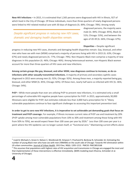**New HIV Infections –** In 2015, it is estimated that 1,565 persons were diagnosed with HIV in Illinois, 927 of which lived in the City of Chicago. Of these individuals, more than three-quarters of newly diagnosed persons were linked to HIV-related medical care with 30 days of diagnosis (IL: 89%; Chicago: 78%). Among newly

Despite significant progress in reducing new HIV cases, dramatic and damaging health disparities remain.

diagnosed persons, the majority were male (IL: 84%; Chicago: 85%), Black (IL: 51%; Chicago: 53%), and between the ages of 20-39 (IL: 66%; Chicago: 67%).

**Disparities –** Despite significant progress in reducing new HIV cases, dramatic and damaging health disparities remain. Gay, bisexual, and other men who have sex with men (MSM) comprised a majority of persons living with HIV in 2015 (IL: 63%; Chicago: 67%) and newly diagnosed persons (IL: 77%; Chicago: 79%). Non-Hispanic Black men comprise a majority of new diagnoses in this population (IL: 46%; Chicago: 46%). Among heterosexual women, non-Hispanic Black women account for more than three-quarters of HIV cases and new infections.

**Among certain groups like gay, bisexual, and other MSM, new diagnoses continue to increase, as do coinfections with other sexually transmitted infections.** A majority of primary and secondary syphilis cases diagnosed in 2015 were among men (IL: 92%; Chicago: 92%). Among these men, a majority reported being gay, bisexual, and other MSM (IL: 85%; Chicago: 82%). Of these men, nearly half were co-infected with HIV (IL: 46%; Chicago: 54%).

**PrEP –** While more people than ever are utilizing PrEP to prevent new infections, it is estimated only a small percentage of vulnerable HIV-negative people have a prescription for PrEP. In 2015, approximately 30,000 Illinoisans were eligible for PrEP, but estimates indicate less than 3,000 had a prescription for it.<sup>4</sup> Many vulnerable populations continue to face significant challenges to accessing this important prevention tool.

**In order to get to zero new HIV infections, it is imperative to set achievable yet demanding goals that focus on treatment and PrEP coverage.** For example, if Illinois increases current rates of PrEP use and treatment by 20% (PrEP uptake among most vulnerable populations from 10% to 30% and treatment among those living with HIV from 50% to 70%), we would expect fewer than 100 cases per year by 2026.<sup>5</sup> Less than 100 cases per year is a point where the HIV epidemic can no longer sustain itself, or "functional zero." Maintaining current efforts alone

<sup>&</sup>lt;sup>5</sup> This assumes that populations with highest rates of HIV acquisition and transmission in Chicago are engaged the most and that implementation of these interventions is effective immediately. (BARS modeling team Khanna, Schneider et al. University of Chicago).



 $\overline{a}$ 

<sup>&</sup>lt;sup>4</sup> Livak B, Michaels S, Green K, Nelson C, Westbrook M, Simpson Y, Prachand N, Benbow N, Schneider JA. Estimating the number of young Black men who have sex with men (YBMSM) on the south side of Chicago: Towards HIV elimination within US urban communities. Journal of Urban Health. 2013 Dec; 90(6): 1205-1213. PMCID: PMC3853168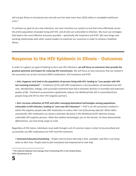will not get Illinois to functional zero and will cost the state more than \$250 million in avoidable healthcare  $costs.<sup>6</sup>$ 

To achieve our goal of zero new infections, we must transition our system to one that more effectively serves the entire population of people living with HIV, and all who are vulnerable to infection. We must use strategies that lead to the most effective outcomes possible – specifically HIV treatment and PrEP. We must forge new working relationships with other system leaders to maximize our resources in order to achieve a healthier Illinois.

## **Response to the HIV Epidemic in Illinois - Outcomes**

In order to support our goal of Getting to Zero new HIV infections, **we will focus on outcomes that provide the greatest potential and impact for reducing HIV transmission.** We will focus on two outcomes that are rooted in the successful use of anti-retroviral (ARV) medications: HIV treatment and PrEP.

• **Aim: Suppress viral load in the population of persons living with HIV, leading to "zero people with HIV not receiving treatment" –** *Treatment of HIV with ARV medications is the foundation of individual-level HIV care. Identification, linkage, and successful treatment have led to dramatic declines in mortality and improved quality of life. Treatment-as-prevention significantly reduces the likelihood that HIV is transmitted from people living with HIV to their HIV-negative partners.*

• **Aim: Increase utilization of PrEP and other emerging biomedical technologies among populations vulnerable to HIV infection, leading to "zero new HIV infections" –** *PrEP is an HIV prevention method in which HIV-negative people take ARV medication to reduce their risk of becoming infected. When taken consistently, ARV medication use shows a dramatic decrease in the likelihood of HIV infection among vulnerable HIV-negative persons. Other bio-medical technologies are on the horizon. As these demonstrate effectiveness, we must bring usage to scale.*

Regardless of HIV status, individuals must walk through a set of common steps in order to be prescribed and successfully use ARV medications for PrEP and HIV treatment.

*•* **Outreach/education/marketing** – *People need to know that help is free, available, and that it can bring value to their lives. People need to feel motivated and empowered to seek help.*

 $\overline{a}$ 

<sup>&</sup>lt;sup>6</sup> The Lifetime Medical Cost Savings from Preventing HIV in the United States 2015 Schackman et al.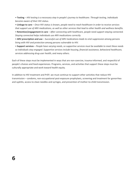*•* **Testing** – *HIV testing is a necessary step in people's journey to healthcare. Through testing, individuals become aware of their HIV status.*

*•* **Linkage to care** – *Once HIV status is known, people need to reach healthcare in order to receive services that support use of ARV medications, as well as other services that lead to other health and wellness benefits.*

*•* **Retention/engagement in care** – *After connecting with healthcare, people need support staying connected. Staying connected helps individuals use ARV medications correctly.*

*•* **ARV prescription and use** – *Successful use of ARV medications leads to viral suppression among persons living with HIV and protection among persons vulnerable to HIV.*

*•* **Support services** – *People have varying needs, so supportive services must be available to meet these needs so individuals stay engaged. Supportive services include housing, financial assistance, behavioral healthcare, services addressing drug-user health, and many others.*

Each of these steps must be implemented in ways that are non-coercive, trauma-informed, and respectful of people's choices and lived experiences. Programs, services, and activities that support these steps must be culturally appropriate and work toward health equity.

In addition to HIV treatment and PrEP, we must continue to support other activities that reduce HIV transmission – condoms, non-occupational post-exposure prophylaxis, screening and treatment for gonorrhea and syphilis, access to clean needles and syringes, and prevention of mother-to-child transmission.

**6**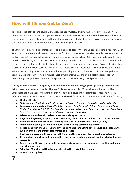## **How will Illinois Get to Zero?**

**For Illinois, the path to zero new HIV infections is not a mystery.** It will take sustained investments in HIV prevention, treatment, care, and supportive services. It will take focused attention on the structural drivers of the epidemic, including HIV stigma and homophobia. Without a doubt, it will take increased funding, at least in the short-term, with a focus on programs that have the highest impact.

**The State of Illinois has a deep financial stake in Getting to Zero.** While the Chicago and Illinois Departments of Public Health are traditionally seen as responsible for HIV in Illinois, other agencies spend far more on HIV care and services but with less deliberate planning or oversight. For example, in 2016, 55% of people with HIV were enrolled in Medicaid, and their care cost an estimated \$403 million per year. Yet, Medicaid data is limited with respect to tracking the most reliable HIV health outcomes.<sup>7</sup> Illinois state prisons housed 344 people with HIV in March 2017, and the state pays the full cost of their medical care.<sup>8</sup> Department of Human Services programs are vital for providing behavioral healthcare for people living with and vulnerable to HIV. Focused policy and programmatic changes that help synergize these investments with sound public health approaches can dramatically change the course of the HIV epidemic and more effectively spend public dollars.

**Getting to Zero requires a thoughtful, well-researched plan that leverages public-private partnerships and brings people and agencies together that don't always focus on HIV.** We ask Governor Rauner and Mayor Emanuel to appoint a year-long task force that will develop a blueprint for dramatically reducing new HIV infections, and oversee implementation of the plan. The task force should, at a minimum, include the following:

- **Elected officials**
- **State agencies:** *Public Health, Medicaid, Human Services, Insurance, Corrections, Aging, Education*
- **Key governmental stakeholders***: Illinois Department of Public Health, Chicago Department of Public Health, Cook County Public Health, Cook County Health and Hospitals System, Department of Family and Support Services, and other relevant Chicago government agencies*
- **Private sector leaders with a direct stake in a thriving workforce**
- **Large health systems, hospitals, private insurance, Medicaid plans, and behavioral health providers**
- **Safety-net health care providers, including Federally Qualified Health Centers (FQHCs)**
- **Community-based organizations that focus on HIV among communities of color**
- **People living with and vulnerable to HIV, including Black and Latino gay, bisexual, and other MSM; Women of color, and transgender women of all races**
- **Healthcare providers with expertise in HIV and healthcare delivery for vulnerable populations**
- **Organizations knowledgeable about addressing the social determinants of health, including housing instability**
- **Researchers with expertise in youth; aging; gay, bisexual, and transgender communities; and other special populations**
- **Schools of Medicine and Nursing and other allied health training programs**
- **Others as appropriate**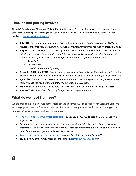#### **Timeline and getting involved**

The AIDS Foundation of Chicago (AFC) is staffing the Getting to Zero planning process, with support from Sara Semelka as the project manager, and John Peller, President/CEO. Contact Sara to learn more or get involved – [ssemelka@aidschicago.org](mailto:ssemelka@aidschicago.org) .

- **July 2017**: *One-year planning period begins, resulting in formalized Getting to Zero plan. AFC hires Project Manager to facilitate planning activities, coordinate partnerships and support drafting the plan.*
- **August 2017 – October 2017***: GTZ Steering Committee expands to include at least 30 diverse public and private stakeholders. The committee establishes workgroups. The committee leads a broad-based community engagement effort to gather input to inform the GTZ plan. Methods include:*
	- o *Town halls*
	- o *Focus groups*
	- o *A web-based community survey*
- **November 2017 - April 2018**: *Planning workgroups engage in periodic meetings to focus on the topics gathered via the community engagement sessions and develop recommendations for the final GTZ plan.*
- *April 2018: The workgroups present recommendations and the steering committee synthesizes these recommendations into a first draft of the Illinois' Getting to Zero plan.*
- *May 2018*: *First draft of Getting to Zero plan reviewed; initial concerns and challenges addressed.*
- *June 2018*: *Getting to Zero plan ready for approval and implementation.*

#### **What do we need from you?**

**8**

We are sharing this framework to gather feedback and to garner buy-in and support for Getting to Zero. We encourage you to read the framework, ask questions about it, and provide us with constructive suggestions to improve it. You can provide feedback in these ways:

- *[Add your name to our list of interested parties](mailto:ssemelka@aidschicago.org?subject=Please%20add%20me%20to%20the%20GTZ%20community%20list) so you can be kept up to date on GTZ activities on a regular basis.*
- *Participate in our community engagement sessions, which will take place in the form of town hall meetings, a web-based survey and focus groups. Check out aidschicago.org/GTZ to learn about when and where these engagement activities will take place.*
- *[Volunteer to join one of our workgroups,](mailto:ssemelka@aidschicago.org?subject=I) which will be established in the fall of 2017.*
- *Send an email with your feedback to Sara Semelka [\(ssemelka@aidschicago.org\)](mailto:ssemelka@aidschicago.org).*